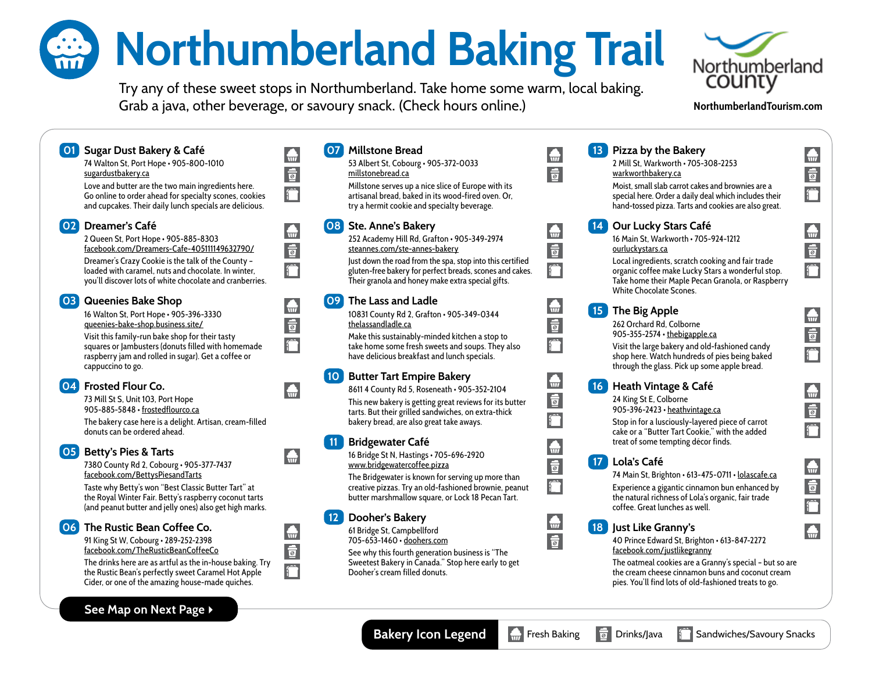## **Worthumberland Baking Trail**

Try any of these sweet stops in Northumberland. Take home some warm, local baking. Grab a java, other beverage, or savoury snack. (Check hours online.)



## **[NorthumberlandTourism.com](https://www.northumberlandtourism.com/en/index.aspx)**

 $\bigoplus$  $\frac{1}{\overline{2}}$ 

 $\bigoplus$ 

 $\frac{1}{2}$ 

 $\bigoplus$ 

 $\frac{1}{\overline{2}}$ 

 $\bigoplus$ 

 $\frac{1}{2}$ 

 $\bigoplus$  $\frac{1}{2}$ 

 $\bigoplus$ 

## 07 Millstone Bread **01 Sugar Dust Bakery & Café 13** Pizza by the Bakery  $\bigoplus$  $\bigoplus$ 74 Walton St, Port Hope • 905-800-1010 53 Albert St, Cobourg • 905-372-0033 2 Mill St, Warkworth • 705-308-2253  $\frac{1}{2}$  $\overline{a}$ [sugardustbakery.ca](https://sugardustbakery.ca/) [millstonebread.ca](https://www.millstonebread.ca/) [warkworthbakery.ca](https://www.warkworthbakery.ca/) Millstone serves up a nice slice of Europe with its Moist, small slab carrot cakes and brownies are a Love and butter are the two main ingredients here.  $\hat{r}$ Go online to order ahead for specialty scones, cookies artisanal bread, baked in its wood-fired oven. Or, special here. Order a daily deal which includes their and cupcakes. Their daily lunch specials are delicious. try a hermit cookie and specialty beverage. hand-tossed pizza. Tarts and cookies are also great. 02 Dreamer's Café 08 Ste. Anne's Bakery Our Lucky Stars Café  $\bigoplus$  $\bigoplus$ 2 Queen St, Port Hope • 905-885-8303 252 Academy Hill Rd, Grafton • 905-349-2974 16 Main St, Warkworth • 705-924-1212  $\frac{1}{2}$ [facebook.com/Dreamers-Cafe-405111149632790/](https://www.facebook.com/Dreamers-Cafe-405111149632790/)  $\frac{1}{2}$ [steannes.com/ste-annes-bakery](https://www.steannes.com/ste-annes-bakery) [ourluckystars.ca](https://ourluckystars.ca/) Dreamer's Crazy Cookie is the talk of the County – Just down the road from the spa, stop into this certified Local ingredients, scratch cooking and fair trade î loaded with caramel, nuts and chocolate. In winter, gluten-free bakery for perfect breads, scones and cakes. organic coffee make Lucky Stars a wonderful stop. you'll discover lots of white chocolate and cranberries. Their granola and honey make extra special gifts. Take home their Maple Pecan Granola, or Raspberry White Chocolate Scones. 09 The Lass and Ladle 03 Queenies Bake Shop  $\bigoplus$  $\bigoplus$ **15** The Big Apple 16 Walton St, Port Hope • 905-396-3330 10831 County Rd 2, Grafton • 905-349-0344  $\frac{1}{2}$  $\frac{1}{2}$ [queenies-bake-shop.business.site/](https://queenies-bake-shop.business.site/) [thelassandladle.ca](https://www.thelassandladle.ca/) 262 Orchard Rd, Colborne 905-355-2574 · the bigapple.ca Visit this family-run bake shop for their tasty Make this sustainably-minded kitchen a stop to  $\hat{r}$ squares or Jambusters (donuts filled with homemade take home some fresh sweets and soups. They also Visit the large bakery and old-fashioned candy raspberry jam and rolled in sugar). Get a coffee or have delicious breakfast and lunch specials. shop here. Watch hundreds of pies being baked cappuccino to go. through the glass. Pick up some apple bread. 10 Butter Tart Empire Bakery  $\bigoplus$ 04 Frosted Flour Co. Heath Vintage & Café  $\bigoplus$ 8611 4 County Rd 5, Roseneath • 905-352-2104  $\frac{1}{2}$ 24 King St E, Colborne 73 Mill St S, Unit 103, Port Hope This new bakery is getting great reviews for its butter 905-885-5848 • [frostedflourco.ca](https://www.frostedflourco.ca/) 905-396-2423 • [heathvintage.ca](https://heathvintage.ca/) tarts. But their grilled sandwiches, on extra-thick bakery bread, are also great take aways. Stop in for a lusciously-layered piece of carrot The bakery case here is a delight. Artisan, cream-filled donuts can be ordered ahead. cake or a "Butter Tart Cookie," with the added 11 Bridgewater Café treat of some tempting décor finds.  $\bigoplus$ **05** Betty's Pies & Tarts 16 Bridge St N, Hastings • 705-696-2920  $\bigoplus$  $\frac{1}{2}$ **17** Lola's Café 7380 County Rd 2, Cobourg • 905-377-7437 [www.bridgewatercoffee.pizza](https://www.bridgewatercoffee.pizza/) [facebook.com/BettysPiesandTarts](https://www.facebook.com/BettysPiesandTarts/) 74 Main St, Brighton • 613-475-0711 [• lolascafe.ca](https://www.lolascafe.ca) The Bridgewater is known for serving up more than Taste why Betty's won "Best Classic Butter Tart" at Experience a gigantic cinnamon bun enhanced by creative pizzas. Try an old-fashioned brownie, peanut the Royal Winter Fair. Betty's raspberry coconut tarts butter marshmallow square, or Lock 18 Pecan Tart. the natural richness of Lola's organic, fair trade (and peanut butter and jelly ones) also get high marks. coffee. Great lunches as well. 12 Dooher's Bakery  $\bigoplus$ 06 The Rustic Bean Coffee Co. 18 Just Like Granny's  $\bigoplus$ 61 Bridge St, Campbellford  $\overline{a}$ 91 King St W, Cobourg • 289-252-2398 705-653-1460 [• doohers.com](https://doohers.com/) 40 Prince Edward St, Brighton • 613-847-2272  $\frac{1}{2}$ [facebook.com/TheRusticBeanCoffeeCo](https://www.facebook.com/TheRusticBeanCoffeeCo/) [facebook.com/justlikegranny](https://www.facebook.com/justlikegranny/) See why this fourth generation business is "The The drinks here are as artful as the in-house baking. Try Sweetest Bakery in Canada." Stop here early to get The oatmeal cookies are a Granny's special – but so are the Rustic Bean's perfectly sweet Caramel Hot Apple Dooher's cream filled donuts. the cream cheese cinnamon buns and coconut cream Cider, or one of the amazing house-made quiches. pies. You'll find lots of old-fashioned treats to go. See Map on Next Page  $\blacktriangleright$ **Bakery Icon Legend | H** Fresh Baking | Drinks/Java | Sandwiches/Savoury Snacks